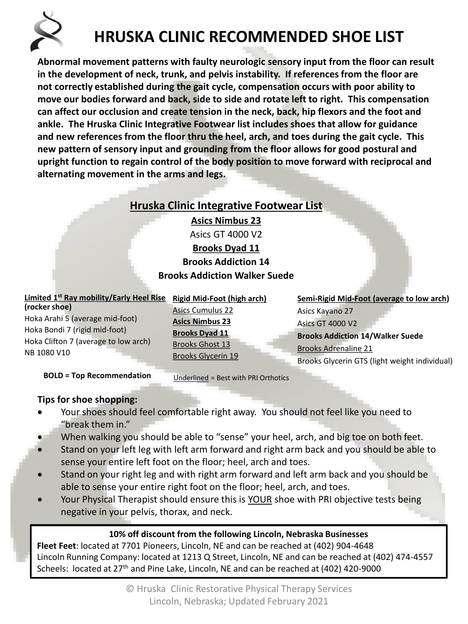

## **HRUSKA CLINIC RECOMMENDED SHOE LIST**

**Abnormal movement patterns with faulty neurologic sensory input from the floor can result in the development of neck, trunk, and pelvis instability. If references from the floor are not correctly established during the gait cycle, compensation occurs with poor ability to move our bodies forward and back, side to side and rotate left to right. This compensation can affect our occlusion and create tension in the neck, back, hip flexors and the foot and ankle. The Hruska Clinic Integrative Footwear list includes shoes that allow for guidance and new references from the floor thru the heel, arch, and toes during the gait cycle. This new pattern of sensory input and grounding from the floor allows for good postural and upright function to regain control of the body position to move forward with reciprocal and alternating movement in the arms and legs.**

### **Hruska Clinic Integrative Footwear List**

**Asics Nimbus 23** Asics GT 4000 V2 **Brooks Dyad 11 Brooks Addiction 14**

#### **Brooks Addiction Walker Suede**

| Limited 1 <sup>st</sup> Ray mobility/Early Heel Rise<br>(rocker shoe)<br>Hoka Arahi 5 (average mid-foot)<br>Hoka Bondi 7 (rigid mid-foot)<br>Hoka Clifton 7 (average to low arch)<br>NB 1080 V10 | <b>Rigid Mid-Foot (high arch)</b><br><b>Asics Cumulus 22</b><br><b>Asics Nimbus 23</b><br><b>Brooks Dyad 11</b><br><b>Brooks Ghost 13</b><br><b>Brooks Glycerin 19</b> | Semi-Rigid Mid-Foot (average to low arch)<br>Asics Kayano 27<br><b>Asics GT 4000 V2</b><br><b>Brooks Addiction 14/Walker Suede</b><br><b>Brooks Adrenaline 21</b> |
|--------------------------------------------------------------------------------------------------------------------------------------------------------------------------------------------------|------------------------------------------------------------------------------------------------------------------------------------------------------------------------|-------------------------------------------------------------------------------------------------------------------------------------------------------------------|
| <b>BOLD = Top Recommendation</b>                                                                                                                                                                 | Underlined = Best with PRI Orthotics                                                                                                                                   | Brooks Glycerin GTS (light weight individual)                                                                                                                     |

# **Tips for shoe shopping:**

- Your shoes should feel comfortable right away. You should not feel like you need to "break them in."
- When walking you should be able to "sense" your heel, arch, and big toe on both feet.
- Stand on your left leg with left arm forward and right arm back and you should be able to sense your entire left foot on the floor; heel, arch and toes.
- Stand on your right leg and with right arm forward and left arm back and you should be able to sense your entire right foot on the floor; heel, arch, and toes.
- Your Physical Therapist should ensure this is YOUR shoe with PRI objective tests being negative in your pelvis, thorax, and neck.

### **10% off discount from the following Lincoln, Nebraska Businesses**

**Fleet Feet**: located at 7701 Pioneers, Lincoln, NE and can be reached at (402) 904-4648 Lincoln Running Company: located at 1213 Q Street, Lincoln, NE and can be reached at (402) 474-4557 Scheels: located at 27<sup>th</sup> and Pine Lake, Lincoln, NE and can be reached at (402) 420-9000